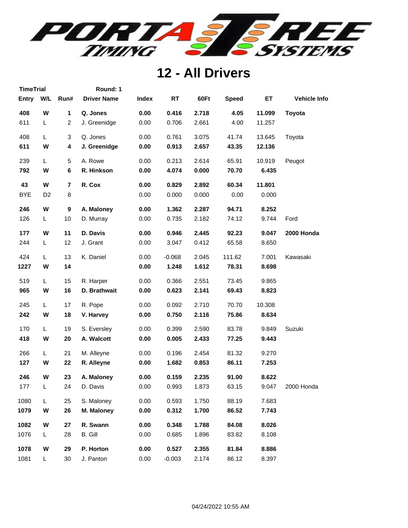

**TimeTrial Round: 1**

| Entry      | W/L            | Run#                    | <b>Driver Name</b> | <b>Index</b> | <b>RT</b> | 60Ft  | <b>Speed</b> | ET     | <b>Vehicle Info</b> |
|------------|----------------|-------------------------|--------------------|--------------|-----------|-------|--------------|--------|---------------------|
| 408        | W              | 1                       | Q. Jones           | 0.00         | 0.416     | 2.718 | 4.05         | 11.099 | <b>Toyota</b>       |
| 611        | L              | $\overline{c}$          | J. Greenidge       | 0.00         | 0.706     | 2.661 | 4.00         | 11.257 |                     |
| 408        | Г              | 3                       | Q. Jones           | 0.00         | 0.761     | 3.075 | 41.74        | 13.645 | Toyota              |
| 611        | W              | 4                       | J. Greenidge       | 0.00         | 0.913     | 2.657 | 43.35        | 12.136 |                     |
| 239        | L              | 5                       | A. Rowe            | 0.00         | 0.213     | 2.614 | 65.91        | 10.919 | Peugot              |
| 792        | W              | 6                       | R. Hinkson         | 0.00         | 4.074     | 0.000 | 70.70        | 6.435  |                     |
| 43         | W              | $\overline{\mathbf{r}}$ | R. Cox             | 0.00         | 0.829     | 2.892 | 60.34        | 11.801 |                     |
| <b>BYE</b> | D <sub>2</sub> | 8                       |                    | 0.00         | 0.000     | 0.000 | 0.00         | 0.000  |                     |
| 246        | W              | 9                       | A. Maloney         | 0.00         | 1.362     | 2.287 | 94.71        | 8.252  |                     |
| 126        | L.             | 10                      | D. Murray          | 0.00         | 0.735     | 2.182 | 74.12        | 9.744  | Ford                |
| 177        | W              | 11                      | D. Davis           | 0.00         | 0.946     | 2.445 | 92.23        | 9.047  | 2000 Honda          |
| 244        | L              | 12                      | J. Grant           | 0.00         | 3.047     | 0.412 | 65.58        | 8.650  |                     |
| 424        | L              | 13                      | K. Daniel          | 0.00         | $-0.068$  | 2.045 | 111.62       | 7.001  | Kawasaki            |
| 1227       | W              | 14                      |                    | 0.00         | 1.248     | 1.612 | 78.31        | 8.698  |                     |
| 519        | L              | 15                      | R. Harper          | 0.00         | 0.366     | 2.551 | 73.45        | 9.865  |                     |
| 965        | W              | 16                      | D. Brathwait       | 0.00         | 0.623     | 2.141 | 69.43        | 8.823  |                     |
| 245        | L              | 17                      | R. Pope            | 0.00         | 0.092     | 2.710 | 70.70        | 10.308 |                     |
| 242        | W              | 18                      | V. Harvey          | 0.00         | 0.750     | 2.116 | 75.86        | 8.634  |                     |
| 170        | L              | 19                      | S. Eversley        | 0.00         | 0.399     | 2.590 | 83.78        | 9.849  | Suzuki              |
| 418        | W              | 20                      | A. Walcott         | 0.00         | 0.005     | 2.433 | 77.25        | 9.443  |                     |
| 266        | L              | 21                      | M. Alleyne         | 0.00         | 0.196     | 2.454 | 81.32        | 9.270  |                     |
| 127        | W              | 22                      | R. Alleyne         | 0.00         | 1.682     | 0.853 | 86.11        | 7.253  |                     |
| 246        | W              | 23                      | A. Maloney         | 0.00         | 0.159     | 2.235 | 91.00        | 8.622  |                     |
| 177        | L              | 24                      | D. Davis           | 0.00         | 0.993     | 1.873 | 63.15        | 9.047  | 2000 Honda          |
| 1080       | L              | 25                      | S. Maloney         | 0.00         | 0.593     | 1.750 | 88.19        | 7.683  |                     |
| 1079       | W              | 26                      | M. Maloney         | 0.00         | 0.312     | 1.700 | 86.52        | 7.743  |                     |
| 1082       | W              | 27                      | R. Swann           | 0.00         | 0.348     | 1.788 | 84.08        | 8.026  |                     |
| 1076       | L              | 28                      | B. Gill            | 0.00         | 0.685     | 1.896 | 83.82        | 8.108  |                     |
| 1078       | W              | 29                      | P. Horton          | 0.00         | 0.527     | 2.355 | 81.84        | 8.886  |                     |
| 1081       | L              | 30                      | J. Panton          | 0.00         | $-0.003$  | 2.174 | 86.12        | 8.397  |                     |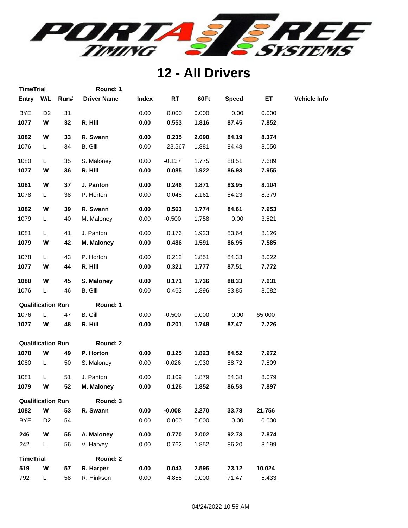

| <b>TimeTrial</b>         |                |      | Round: 1           |              |           |       |              |        |                     |
|--------------------------|----------------|------|--------------------|--------------|-----------|-------|--------------|--------|---------------------|
| Entry W/L                |                | Run# | <b>Driver Name</b> | <b>Index</b> | <b>RT</b> | 60Ft  | <b>Speed</b> | ET     | <b>Vehicle Info</b> |
| <b>BYE</b>               | D <sub>2</sub> | 31   |                    | 0.00         | 0.000     | 0.000 | 0.00         | 0.000  |                     |
| 1077                     | W              | 32   | R. Hill            | 0.00         | 0.553     | 1.816 | 87.45        | 7.852  |                     |
| 1082                     | W              | 33   | R. Swann           | 0.00         | 0.235     | 2.090 | 84.19        | 8.374  |                     |
| 1076                     | L.             | 34   | B. Gill            | 0.00         | 23.567    | 1.881 | 84.48        | 8.050  |                     |
| 1080                     | L              | 35   | S. Maloney         | 0.00         | $-0.137$  | 1.775 | 88.51        | 7.689  |                     |
| 1077                     | W              | 36   | R. Hill            | 0.00         | 0.085     | 1.922 | 86.93        | 7.955  |                     |
| 1081                     | W              | 37   | J. Panton          | 0.00         | 0.246     | 1.871 | 83.95        | 8.104  |                     |
| 1078                     | L              | 38   | P. Horton          | 0.00         | 0.048     | 2.161 | 84.23        | 8.379  |                     |
| 1082                     | W              | 39   | R. Swann           | 0.00         | 0.563     | 1.774 | 84.61        | 7.953  |                     |
| 1079                     | L              | 40   | M. Maloney         | 0.00         | $-0.500$  | 1.758 | 0.00         | 3.821  |                     |
| 1081                     | L              | 41   | J. Panton          | 0.00         | 0.176     | 1.923 | 83.64        | 8.126  |                     |
| 1079                     | W              | 42   | M. Maloney         | 0.00         | 0.486     | 1.591 | 86.95        | 7.585  |                     |
| 1078                     | L              | 43   | P. Horton          | 0.00         | 0.212     | 1.851 | 84.33        | 8.022  |                     |
| 1077                     | W              | 44   | R. Hill            | 0.00         | 0.321     | 1.777 | 87.51        | 7.772  |                     |
| 1080                     | W              | 45   | S. Maloney         | 0.00         | 0.171     | 1.736 | 88.33        | 7.631  |                     |
| 1076                     | L.             | 46   | B. Gill            | 0.00         | 0.463     | 1.896 | 83.85        | 8.082  |                     |
| <b>Qualification Run</b> |                |      | Round: 1           |              |           |       |              |        |                     |
| 1076                     | L              | 47   | B. Gill            | 0.00         | $-0.500$  | 0.000 | 0.00         | 65.000 |                     |
| 1077                     | W              | 48   | R. Hill            | 0.00         | 0.201     | 1.748 | 87.47        | 7.726  |                     |
| <b>Qualification Run</b> |                |      | Round: 2           |              |           |       |              |        |                     |
| 1078                     | W              | 49   | P. Horton          | 0.00         | 0.125     | 1.823 | 84.52        | 7.972  |                     |
| 1080                     | L              | 50   | S. Maloney         | 0.00         | $-0.026$  | 1.930 | 88.72        | 7.809  |                     |
| 1081                     | L              | 51   | J. Panton          | 0.00         | 0.109     | 1.879 | 84.38        | 8.079  |                     |
| 1079                     | W              | 52   | M. Maloney         | 0.00         | 0.126     | 1.852 | 86.53        | 7.897  |                     |
| <b>Qualification Run</b> |                |      | Round: 3           |              |           |       |              |        |                     |
| 1082                     | W              | 53   | R. Swann           | 0.00         | $-0.008$  | 2.270 | 33.78        | 21.756 |                     |
| <b>BYE</b>               | D <sub>2</sub> | 54   |                    | 0.00         | 0.000     | 0.000 | 0.00         | 0.000  |                     |
| 246                      | W              | 55   | A. Maloney         | 0.00         | 0.770     | 2.002 | 92.73        | 7.874  |                     |
| 242                      | L              | 56   | V. Harvey          | 0.00         | 0.762     | 1.852 | 86.20        | 8.199  |                     |
| <b>TimeTrial</b>         |                |      | Round: 2           |              |           |       |              |        |                     |
| 519                      | W              | 57   | R. Harper          | 0.00         | 0.043     | 2.596 | 73.12        | 10.024 |                     |
| 792                      | L.             | 58   | R. Hinkson         | 0.00         | 4.855     | 0.000 | 71.47        | 5.433  |                     |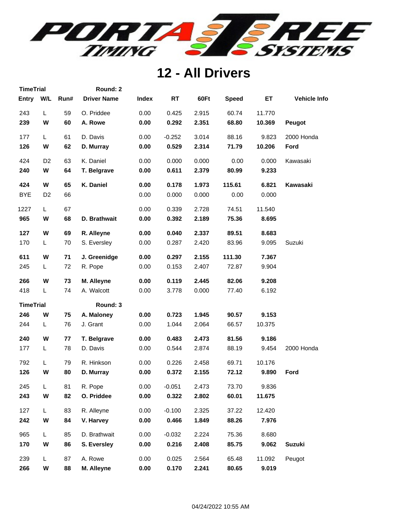

| <b>TimeTrial</b> |                |      | Round: 2           |              |           |       |              |        |                     |
|------------------|----------------|------|--------------------|--------------|-----------|-------|--------------|--------|---------------------|
| <b>Entry</b>     | W/L            | Run# | <b>Driver Name</b> | <b>Index</b> | <b>RT</b> | 60Ft  | <b>Speed</b> | ET     | <b>Vehicle Info</b> |
| 243              | Г              | 59   | O. Priddee         | 0.00         | 0.425     | 2.915 | 60.74        | 11.770 |                     |
| 239              | W              | 60   | A. Rowe            | 0.00         | 0.292     | 2.351 | 68.80        | 10.369 | Peugot              |
| 177              | L              | 61   | D. Davis           | 0.00         | $-0.252$  | 3.014 | 88.16        | 9.823  | 2000 Honda          |
| 126              | W              | 62   | D. Murray          | 0.00         | 0.529     | 2.314 | 71.79        | 10.206 | Ford                |
| 424              | D <sub>2</sub> | 63   | K. Daniel          | 0.00         | 0.000     | 0.000 | 0.00         | 0.000  | Kawasaki            |
| 240              | W              | 64   | T. Belgrave        | 0.00         | 0.611     | 2.379 | 80.99        | 9.233  |                     |
| 424              | W              | 65   | K. Daniel          | 0.00         | 0.178     | 1.973 | 115.61       | 6.821  | Kawasaki            |
| <b>BYE</b>       | D <sub>2</sub> | 66   |                    | 0.00         | 0.000     | 0.000 | 0.00         | 0.000  |                     |
| 1227             | L              | 67   |                    | 0.00         | 0.339     | 2.728 | 74.51        | 11.540 |                     |
| 965              | W              | 68   | D. Brathwait       | 0.00         | 0.392     | 2.189 | 75.36        | 8.695  |                     |
| 127              | W              | 69   | R. Alleyne         | 0.00         | 0.040     | 2.337 | 89.51        | 8.683  |                     |
| 170              | L.             | 70   | S. Eversley        | 0.00         | 0.287     | 2.420 | 83.96        | 9.095  | Suzuki              |
| 611              | W              | 71   | J. Greenidge       | 0.00         | 0.297     | 2.155 | 111.30       | 7.367  |                     |
| 245              | L.             | 72   | R. Pope            | 0.00         | 0.153     | 2.407 | 72.87        | 9.904  |                     |
| 266              | W              | 73   | M. Alleyne         | 0.00         | 0.119     | 2.445 | 82.06        | 9.208  |                     |
| 418              | L              | 74   | A. Walcott         | 0.00         | 3.778     | 0.000 | 77.40        | 6.192  |                     |
| <b>TimeTrial</b> |                |      | Round: 3           |              |           |       |              |        |                     |
| 246              | W              | 75   | A. Maloney         | 0.00         | 0.723     | 1.945 | 90.57        | 9.153  |                     |
| 244              | L              | 76   | J. Grant           | 0.00         | 1.044     | 2.064 | 66.57        | 10.375 |                     |
| 240              | W              | 77   | T. Belgrave        | 0.00         | 0.483     | 2.473 | 81.56        | 9.186  |                     |
| 177              | L              | 78   | D. Davis           | 0.00         | 0.544     | 2.874 | 88.19        | 9.454  | 2000 Honda          |
| 792              | L              | 79   | R. Hinkson         | 0.00         | 0.226     | 2.458 | 69.71        | 10.176 |                     |
| 126              | W              | 80   | D. Murray          | 0.00         | 0.372     | 2.155 | 72.12        | 9.890  | Ford                |
| 245              | L              | 81   | R. Pope            | 0.00         | $-0.051$  | 2.473 | 73.70        | 9.836  |                     |
| 243              | W              | 82   | O. Priddee         | 0.00         | 0.322     | 2.802 | 60.01        | 11.675 |                     |
| 127              | L              | 83   | R. Alleyne         | 0.00         | $-0.100$  | 2.325 | 37.22        | 12.420 |                     |
| 242              | W              | 84   | V. Harvey          | 0.00         | 0.466     | 1.849 | 88.26        | 7.976  |                     |
| 965              | L              | 85   | D. Brathwait       | 0.00         | $-0.032$  | 2.224 | 75.36        | 8.680  |                     |
| 170              | W              | 86   | S. Eversley        | 0.00         | 0.216     | 2.408 | 85.75        | 9.062  | <b>Suzuki</b>       |
| 239              | L              | 87   | A. Rowe            | 0.00         | 0.025     | 2.564 | 65.48        | 11.092 | Peugot              |
| 266              | W              | 88   | M. Alleyne         | 0.00         | 0.170     | 2.241 | 80.65        | 9.019  |                     |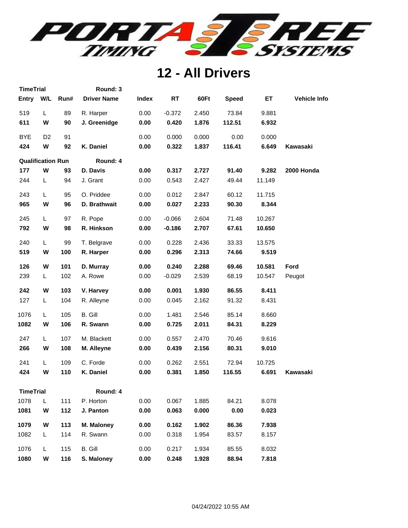

| <b>TimeTrial</b> |                          |      | Round: 3           |       |           |       |              |        |                     |
|------------------|--------------------------|------|--------------------|-------|-----------|-------|--------------|--------|---------------------|
|                  | W/L<br><b>Entry</b>      | Run# | <b>Driver Name</b> | Index | <b>RT</b> | 60Ft  | <b>Speed</b> | ET.    | <b>Vehicle Info</b> |
| 519              | L                        | 89   | R. Harper          | 0.00  | $-0.372$  | 2.450 | 73.84        | 9.881  |                     |
| 611              | W                        | 90   | J. Greenidge       | 0.00  | 0.420     | 1.876 | 112.51       | 6.932  |                     |
| <b>BYE</b>       | D <sub>2</sub>           | 91   |                    | 0.00  | 0.000     | 0.000 | 0.00         | 0.000  |                     |
| 424              | W                        | 92   | K. Daniel          | 0.00  | 0.322     | 1.837 | 116.41       | 6.649  | Kawasaki            |
|                  | <b>Qualification Run</b> |      | Round: 4           |       |           |       |              |        |                     |
| 177              | W                        | 93   | D. Davis           | 0.00  | 0.317     | 2.727 | 91.40        | 9.282  | 2000 Honda          |
| 244              | L                        | 94   | J. Grant           | 0.00  | 0.543     | 2.427 | 49.44        | 11.149 |                     |
| 243              | L                        | 95   | O. Priddee         | 0.00  | 0.012     | 2.847 | 60.12        | 11.715 |                     |
| 965              | W                        | 96   | D. Brathwait       | 0.00  | 0.027     | 2.233 | 90.30        | 8.344  |                     |
| 245              | L.                       | 97   | R. Pope            | 0.00  | $-0.066$  | 2.604 | 71.48        | 10.267 |                     |
| 792              | W                        | 98   | R. Hinkson         | 0.00  | $-0.186$  | 2.707 | 67.61        | 10.650 |                     |
| 240              | L.                       | 99   | T. Belgrave        | 0.00  | 0.228     | 2.436 | 33.33        | 13.575 |                     |
| 519              | W                        | 100  | R. Harper          | 0.00  | 0.296     | 2.313 | 74.66        | 9.519  |                     |
| 126              | W                        | 101  | D. Murray          | 0.00  | 0.240     | 2.288 | 69.46        | 10.581 | Ford                |
| 239              | L                        | 102  | A. Rowe            | 0.00  | $-0.029$  | 2.539 | 68.19        | 10.547 | Peugot              |
| 242              | W                        | 103  | V. Harvey          | 0.00  | 0.001     | 1.930 | 86.55        | 8.411  |                     |
| 127              | L                        | 104  | R. Alleyne         | 0.00  | 0.045     | 2.162 | 91.32        | 8.431  |                     |
| 1076             | L                        | 105  | B. Gill            | 0.00  | 1.481     | 2.546 | 85.14        | 8.660  |                     |
| 1082             | W                        | 106  | R. Swann           | 0.00  | 0.725     | 2.011 | 84.31        | 8.229  |                     |
| 247              | L.                       | 107  | M. Blackett        | 0.00  | 0.557     | 2.470 | 70.46        | 9.616  |                     |
| 266              | W                        | 108  | M. Alleyne         | 0.00  | 0.439     | 2.156 | 80.31        | 9.010  |                     |
| 241              | L.                       | 109  | C. Forde           | 0.00  | 0.262     | 2.551 | 72.94        | 10.725 |                     |
| 424              | W                        | 110  | K. Daniel          | 0.00  | 0.381     | 1.850 | 116.55       | 6.691  | Kawasaki            |
|                  | <b>TimeTrial</b>         |      | Round: 4           |       |           |       |              |        |                     |
| 1078             | L                        | 111  | P. Horton          | 0.00  | 0.067     | 1.885 | 84.21        | 8.078  |                     |
| 1081             | W                        | 112  | J. Panton          | 0.00  | 0.063     | 0.000 | 0.00         | 0.023  |                     |
| 1079             | W                        | 113  | <b>M. Maloney</b>  | 0.00  | 0.162     | 1.902 | 86.36        | 7.938  |                     |
| 1082             | L                        | 114  | R. Swann           | 0.00  | 0.318     | 1.954 | 83.57        | 8.157  |                     |
| 1076             | L                        | 115  | B. Gill            | 0.00  | 0.217     | 1.934 | 85.55        | 8.032  |                     |
| 1080             | W                        | 116  | S. Maloney         | 0.00  | 0.248     | 1.928 | 88.94        | 7.818  |                     |
|                  |                          |      |                    |       |           |       |              |        |                     |